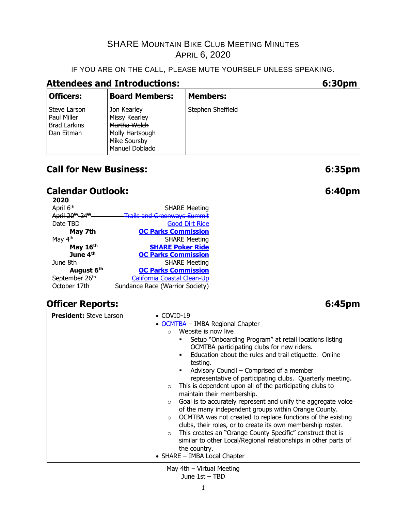#### IF YOU ARE ON THE CALL, PLEASE MUTE YOURSELF UNLESS SPEAKING.

### **Attendees and Introductions: 6:30pm**

| <b>Officers:</b>                                                 | <b>Board Members:</b>                                                                             | <b>Members:</b>   |
|------------------------------------------------------------------|---------------------------------------------------------------------------------------------------|-------------------|
| Steve Larson<br>Paul Miller<br><b>Brad Larkins</b><br>Dan Eitman | Jon Kearley<br>Missy Kearley<br>Martha Welch<br>Molly Hartsough<br>Mike Soursby<br>Manuel Doblado | Stephen Sheffield |

## **Call for New Business: 6:35pm**

## **Calendar Outlook: 6:40pm**

| 2020                                     |                                     |
|------------------------------------------|-------------------------------------|
| April 6th                                | <b>SHARE Meeting</b>                |
| April 20 <sup>th</sup> -24 <sup>th</sup> | <u> Trails and Greenways Summit</u> |
| Date TBD                                 | <b>Good Dirt Ride</b>               |
| May 7th                                  | <b>OC Parks Commission</b>          |
| May 4 <sup>th</sup>                      | <b>SHARE Meeting</b>                |
| May 16th                                 | <b>SHARE Poker Ride</b>             |
| June 4 <sup>th</sup>                     | <b>OC Parks Commission</b>          |
| June 8th                                 | <b>SHARE Meeting</b>                |
| August 6th                               | <b>OC Parks Commission</b>          |
| September 26th                           | <b>California Coastal Clean-Up</b>  |
| October 17th                             | Sundance Race (Warrior Society)     |

## **Officer Reports: 6:45pm**

#### **President:** Steve Larson **• COVID-19** • [OCMTBA](https://www.ocmtba.com/) – IMBA Regional Chapter o Website is now live **•** Setup "Onboarding Program" at retail locations listing OCMTBA participating clubs for new riders. **Education about the rules and trail etiquette. Online** testing. ■ Advisory Council – Comprised of a member representative of participating clubs. Quarterly meeting. o This is dependent upon all of the participating clubs to maintain their membership.  $\circ$  Goal is to accurately represent and unify the aggregate voice of the many independent groups within Orange County. o OCMTBA was not created to replace functions of the existing clubs, their roles, or to create its own membership roster. o This creates an "Orange County Specific" construct that is similar to other Local/Regional relationships in other parts of the country. • SHARE – IMBA Local Chapter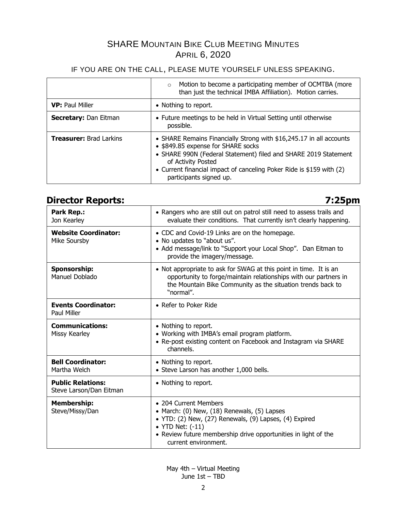#### IF YOU ARE ON THE CALL, PLEASE MUTE YOURSELF UNLESS SPEAKING.

|                                | Motion to become a participating member of OCMTBA (more<br>$\circ$<br>than just the technical IMBA Affiliation). Motion carries.                                                                                                                                                                      |
|--------------------------------|-------------------------------------------------------------------------------------------------------------------------------------------------------------------------------------------------------------------------------------------------------------------------------------------------------|
| <b>VP: Paul Miller</b>         | • Nothing to report.                                                                                                                                                                                                                                                                                  |
| <b>Secretary: Dan Eitman</b>   | • Future meetings to be held in Virtual Setting until otherwise<br>possible.                                                                                                                                                                                                                          |
| <b>Treasurer: Brad Larkins</b> | • SHARE Remains Financially Strong with \$16,245.17 in all accounts<br>• \$849.85 expense for SHARE socks<br>• SHARE 990N (Federal Statement) filed and SHARE 2019 Statement<br>of Activity Posted<br>• Current financial impact of canceling Poker Ride is \$159 with (2)<br>participants signed up. |

## **Director Reports: 7:25pm**

| Park Rep.:<br>Jon Kearley                           | • Rangers who are still out on patrol still need to assess trails and<br>evaluate their conditions. That currently isn't clearly happening.                                                                                                  |
|-----------------------------------------------------|----------------------------------------------------------------------------------------------------------------------------------------------------------------------------------------------------------------------------------------------|
| <b>Website Coordinator:</b><br>Mike Soursby         | • CDC and Covid-19 Links are on the homepage.<br>• No updates to "about us".<br>• Add message/link to "Support your Local Shop". Dan Eitman to<br>provide the imagery/message.                                                               |
| <b>Sponsorship:</b><br>Manuel Doblado               | • Not appropriate to ask for SWAG at this point in time. It is an<br>opportunity to forge/maintain relationships with our partners in<br>the Mountain Bike Community as the situation trends back to<br>"normal".                            |
| <b>Events Coordinator:</b><br>Paul Miller           | • Refer to Poker Ride                                                                                                                                                                                                                        |
| <b>Communications:</b><br>Missy Kearley             | • Nothing to report.<br>• Working with IMBA's email program platform.<br>• Re-post existing content on Facebook and Instagram via SHARE<br>channels.                                                                                         |
| <b>Bell Coordinator:</b><br>Martha Welch            | • Nothing to report.<br>• Steve Larson has another 1,000 bells.                                                                                                                                                                              |
| <b>Public Relations:</b><br>Steve Larson/Dan Eitman | • Nothing to report.                                                                                                                                                                                                                         |
| <b>Membership:</b><br>Steve/Missy/Dan               | • 204 Current Members<br>• March: (0) New, (18) Renewals, (5) Lapses<br>• YTD: (2) New, (27) Renewals, (9) Lapses, (4) Expired<br>• YTD Net: (-11)<br>• Review future membership drive opportunities in light of the<br>current environment. |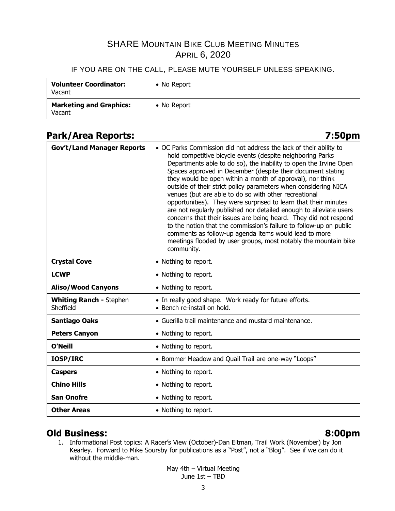#### IF YOU ARE ON THE CALL, PLEASE MUTE YOURSELF UNLESS SPEAKING.

| <b>Volunteer Coordinator:</b><br>Vacant  | • No Report |
|------------------------------------------|-------------|
| <b>Marketing and Graphics:</b><br>Vacant | • No Report |

## **Park/Area Reports: 7:50pm**

| <b>Gov't/Land Manager Reports</b>           | • OC Parks Commission did not address the lack of their ability to<br>hold competitive bicycle events (despite neighboring Parks<br>Departments able to do so), the inability to open the Irvine Open<br>Spaces approved in December (despite their document stating<br>they would be open within a month of approval), nor think<br>outside of their strict policy parameters when considering NICA<br>venues (but are able to do so with other recreational<br>opportunities). They were surprised to learn that their minutes<br>are not regularly published nor detailed enough to alleviate users<br>concerns that their issues are being heard. They did not respond<br>to the notion that the commission's failure to follow-up on public<br>comments as follow-up agenda items would lead to more<br>meetings flooded by user groups, most notably the mountain bike<br>community. |
|---------------------------------------------|--------------------------------------------------------------------------------------------------------------------------------------------------------------------------------------------------------------------------------------------------------------------------------------------------------------------------------------------------------------------------------------------------------------------------------------------------------------------------------------------------------------------------------------------------------------------------------------------------------------------------------------------------------------------------------------------------------------------------------------------------------------------------------------------------------------------------------------------------------------------------------------------|
| <b>Crystal Cove</b>                         | • Nothing to report.                                                                                                                                                                                                                                                                                                                                                                                                                                                                                                                                                                                                                                                                                                                                                                                                                                                                       |
| <b>LCWP</b>                                 | • Nothing to report.                                                                                                                                                                                                                                                                                                                                                                                                                                                                                                                                                                                                                                                                                                                                                                                                                                                                       |
| <b>Aliso/Wood Canyons</b>                   | • Nothing to report.                                                                                                                                                                                                                                                                                                                                                                                                                                                                                                                                                                                                                                                                                                                                                                                                                                                                       |
| <b>Whiting Ranch - Stephen</b><br>Sheffield | • In really good shape. Work ready for future efforts.<br>• Bench re-install on hold.                                                                                                                                                                                                                                                                                                                                                                                                                                                                                                                                                                                                                                                                                                                                                                                                      |
| <b>Santiago Oaks</b>                        | • Guerilla trail maintenance and mustard maintenance.                                                                                                                                                                                                                                                                                                                                                                                                                                                                                                                                                                                                                                                                                                                                                                                                                                      |
| <b>Peters Canyon</b>                        | • Nothing to report.                                                                                                                                                                                                                                                                                                                                                                                                                                                                                                                                                                                                                                                                                                                                                                                                                                                                       |
| <b>O'Neill</b>                              | • Nothing to report.                                                                                                                                                                                                                                                                                                                                                                                                                                                                                                                                                                                                                                                                                                                                                                                                                                                                       |
| IOSP/IRC                                    | • Bommer Meadow and Quail Trail are one-way "Loops"                                                                                                                                                                                                                                                                                                                                                                                                                                                                                                                                                                                                                                                                                                                                                                                                                                        |
| <b>Caspers</b>                              | • Nothing to report.                                                                                                                                                                                                                                                                                                                                                                                                                                                                                                                                                                                                                                                                                                                                                                                                                                                                       |
| <b>Chino Hills</b>                          | • Nothing to report.                                                                                                                                                                                                                                                                                                                                                                                                                                                                                                                                                                                                                                                                                                                                                                                                                                                                       |
| <b>San Onofre</b>                           | • Nothing to report.                                                                                                                                                                                                                                                                                                                                                                                                                                                                                                                                                                                                                                                                                                                                                                                                                                                                       |
| <b>Other Areas</b>                          | • Nothing to report.                                                                                                                                                                                                                                                                                                                                                                                                                                                                                                                                                                                                                                                                                                                                                                                                                                                                       |

### **Old Business: 8:00pm**

1. Informational Post topics: A Racer's View (October)-Dan Eitman, Trail Work (November) by Jon Kearley. Forward to Mike Soursby for publications as a "Post", not a "Blog". See if we can do it without the middle-man.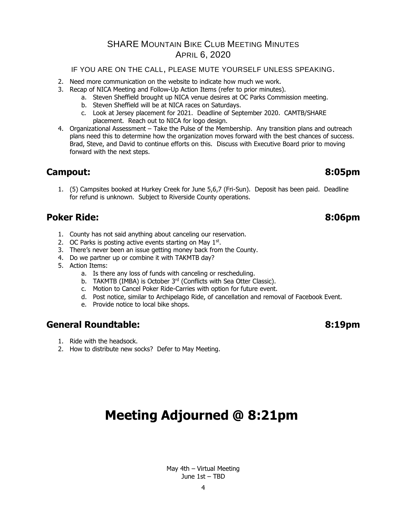IF YOU ARE ON THE CALL, PLEASE MUTE YOURSELF UNLESS SPEAKING.

- 2. Need more communication on the website to indicate how much we work.
- 3. Recap of NICA Meeting and Follow-Up Action Items (refer to prior minutes).
	- a. Steven Sheffield brought up NICA venue desires at OC Parks Commission meeting.
	- b. Steven Sheffield will be at NICA races on Saturdays.
	- c. Look at Jersey placement for 2021. Deadline of September 2020. CAMTB/SHARE placement. Reach out to NICA for logo design.
- 4. Organizational Assessment Take the Pulse of the Membership. Any transition plans and outreach plans need this to determine how the organization moves forward with the best chances of success. Brad, Steve, and David to continue efforts on this. Discuss with Executive Board prior to moving forward with the next steps.

### **Campout: 8:05pm**

1. (5) Campsites booked at Hurkey Creek for June 5,6,7 (Fri-Sun). Deposit has been paid. Deadline for refund is unknown. Subject to Riverside County operations.

## **Poker Ride: 8:06pm**

- 1. County has not said anything about canceling our reservation.
- 2. OC Parks is posting active events starting on May 1<sup>st</sup>.
- 3. There's never been an issue getting money back from the County.
- 4. Do we partner up or combine it with TAKMTB day?
- 5. Action Items:
	- a. Is there any loss of funds with canceling or rescheduling.
	- b. TAKMTB (IMBA) is October 3<sup>rd</sup> (Conflicts with Sea Otter Classic).
	- c. Motion to Cancel Poker Ride-Carries with option for future event.
	- d. Post notice, similar to Archipelago Ride, of cancellation and removal of Facebook Event.
	- e. Provide notice to local bike shops.

### **General Roundtable: 8:19pm**

- 1. Ride with the headsock.
- 2. How to distribute new socks? Defer to May Meeting.

# **Meeting Adjourned @ 8:21pm**